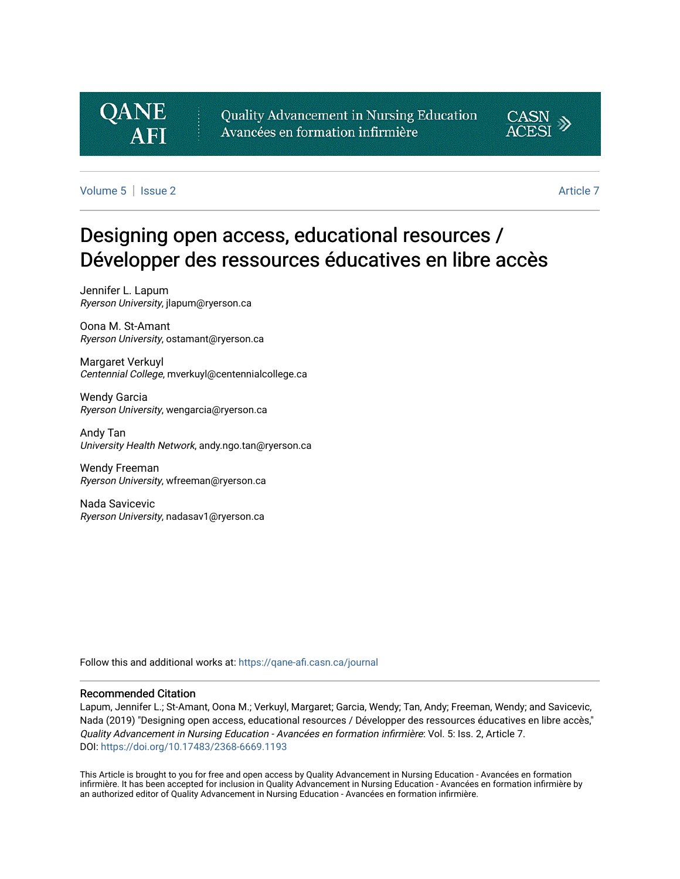# **QANE**

Quality Advancement in Nursing Education Avancées en formation infirmière



[Volume 5](https://qane-afi.casn.ca/journal/vol5) | [Issue 2](https://qane-afi.casn.ca/journal/vol5/iss2) Article 7

# Designing open access, educational resources / Développer des ressources éducatives en libre accès

Jennifer L. Lapum Ryerson University, jlapum@ryerson.ca

Oona M. St-Amant Ryerson University, ostamant@ryerson.ca

Margaret Verkuyl Centennial College, mverkuyl@centennialcollege.ca

Wendy Garcia Ryerson University, wengarcia@ryerson.ca

Andy Tan University Health Network, andy.ngo.tan@ryerson.ca

Wendy Freeman Ryerson University, wfreeman@ryerson.ca

Nada Savicevic Ryerson University, nadasav1@ryerson.ca

Follow this and additional works at: [https://qane-afi.casn.ca/journal](https://qane-afi.casn.ca/journal?utm_source=qane-afi.casn.ca%2Fjournal%2Fvol5%2Fiss2%2F7&utm_medium=PDF&utm_campaign=PDFCoverPages) 

#### Recommended Citation

Lapum, Jennifer L.; St-Amant, Oona M.; Verkuyl, Margaret; Garcia, Wendy; Tan, Andy; Freeman, Wendy; and Savicevic, Nada (2019) "Designing open access, educational resources / Développer des ressources éducatives en libre accès," Quality Advancement in Nursing Education - Avancées en formation infirmière: Vol. 5: Iss. 2, Article 7. DOI: <https://doi.org/10.17483/2368-6669.1193>

This Article is brought to you for free and open access by Quality Advancement in Nursing Education - Avancées en formation infirmière. It has been accepted for inclusion in Quality Advancement in Nursing Education - Avancées en formation infirmière by an authorized editor of Quality Advancement in Nursing Education - Avancées en formation infirmière.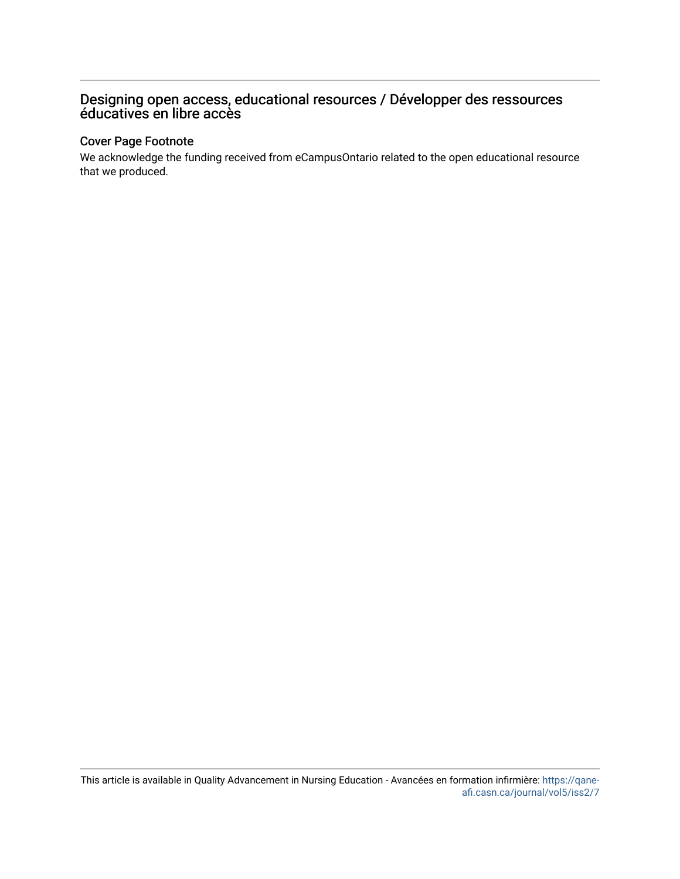# Designing open access, educational resources / Développer des ressources éducatives en libre accès

# Cover Page Footnote

We acknowledge the funding received from eCampusOntario related to the open educational resource that we produced.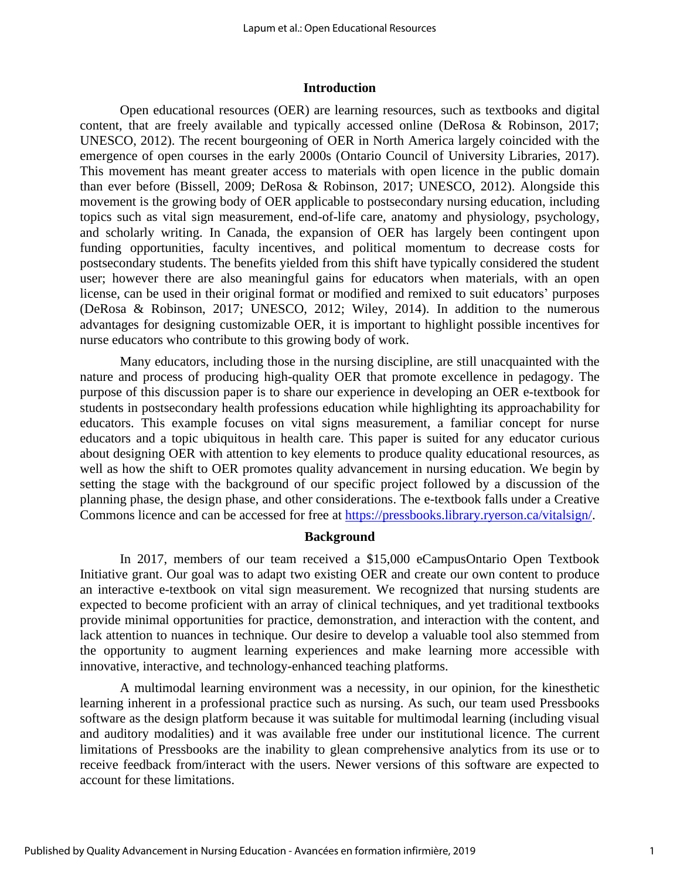#### **Introduction**

Open educational resources (OER) are learning resources, such as textbooks and digital content, that are freely available and typically accessed online (DeRosa & Robinson, 2017; UNESCO, 2012). The recent bourgeoning of OER in North America largely coincided with the emergence of open courses in the early 2000s (Ontario Council of University Libraries, 2017). This movement has meant greater access to materials with open licence in the public domain than ever before (Bissell, 2009; DeRosa & Robinson, 2017; UNESCO, 2012). Alongside this movement is the growing body of OER applicable to postsecondary nursing education, including topics such as vital sign measurement, end-of-life care, anatomy and physiology, psychology, and scholarly writing. In Canada, the expansion of OER has largely been contingent upon funding opportunities, faculty incentives, and political momentum to decrease costs for postsecondary students. The benefits yielded from this shift have typically considered the student user; however there are also meaningful gains for educators when materials, with an open license, can be used in their original format or modified and remixed to suit educators' purposes (DeRosa & Robinson, 2017; UNESCO, 2012; Wiley, 2014). In addition to the numerous advantages for designing customizable OER, it is important to highlight possible incentives for nurse educators who contribute to this growing body of work.

Many educators, including those in the nursing discipline, are still unacquainted with the nature and process of producing high-quality OER that promote excellence in pedagogy. The purpose of this discussion paper is to share our experience in developing an OER e-textbook for students in postsecondary health professions education while highlighting its approachability for educators. This example focuses on vital signs measurement, a familiar concept for nurse educators and a topic ubiquitous in health care. This paper is suited for any educator curious about designing OER with attention to key elements to produce quality educational resources, as well as how the shift to OER promotes quality advancement in nursing education. We begin by setting the stage with the background of our specific project followed by a discussion of the planning phase, the design phase, and other considerations. The e-textbook falls under a Creative Commons licence and can be accessed for free at [https://pressbooks.library.ryerson.ca/vitalsign/.](https://pressbooks.library.ryerson.ca/vitalsign/)

#### **Background**

In 2017, members of our team received a \$15,000 eCampusOntario Open Textbook Initiative grant. Our goal was to adapt two existing OER and create our own content to produce an interactive e-textbook on vital sign measurement. We recognized that nursing students are expected to become proficient with an array of clinical techniques, and yet traditional textbooks provide minimal opportunities for practice, demonstration, and interaction with the content, and lack attention to nuances in technique. Our desire to develop a valuable tool also stemmed from the opportunity to augment learning experiences and make learning more accessible with innovative, interactive, and technology-enhanced teaching platforms.

A multimodal learning environment was a necessity, in our opinion, for the kinesthetic learning inherent in a professional practice such as nursing. As such, our team used Pressbooks software as the design platform because it was suitable for multimodal learning (including visual and auditory modalities) and it was available free under our institutional licence. The current limitations of Pressbooks are the inability to glean comprehensive analytics from its use or to receive feedback from/interact with the users. Newer versions of this software are expected to account for these limitations.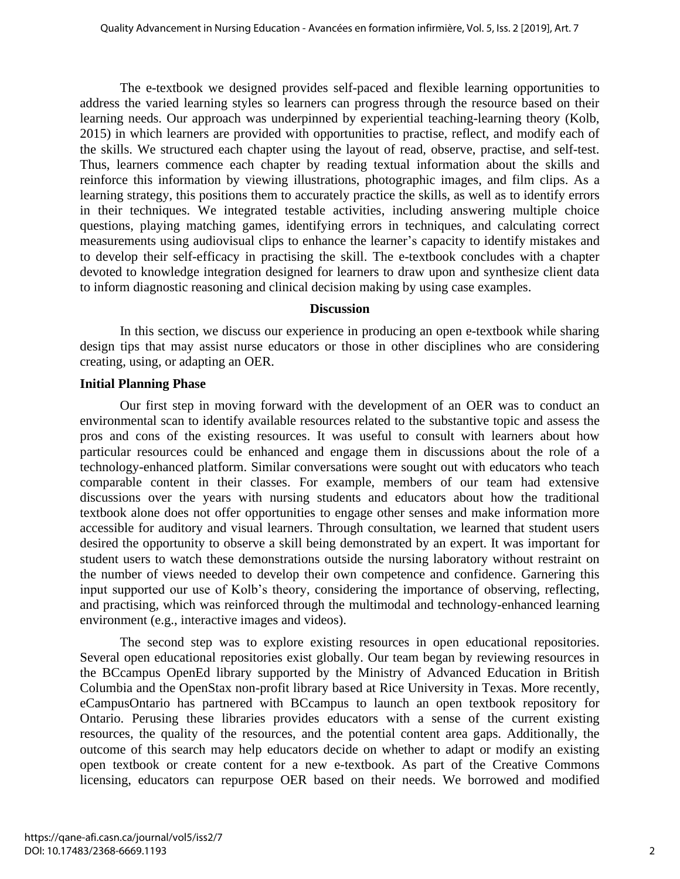The e-textbook we designed provides self-paced and flexible learning opportunities to address the varied learning styles so learners can progress through the resource based on their learning needs. Our approach was underpinned by experiential teaching-learning theory (Kolb, 2015) in which learners are provided with opportunities to practise, reflect, and modify each of the skills. We structured each chapter using the layout of read, observe, practise, and self-test. Thus, learners commence each chapter by reading textual information about the skills and reinforce this information by viewing illustrations, photographic images, and film clips. As a learning strategy, this positions them to accurately practice the skills, as well as to identify errors in their techniques. We integrated testable activities, including answering multiple choice questions, playing matching games, identifying errors in techniques, and calculating correct measurements using audiovisual clips to enhance the learner's capacity to identify mistakes and to develop their self-efficacy in practising the skill. The e-textbook concludes with a chapter devoted to knowledge integration designed for learners to draw upon and synthesize client data to inform diagnostic reasoning and clinical decision making by using case examples.

#### **Discussion**

In this section, we discuss our experience in producing an open e-textbook while sharing design tips that may assist nurse educators or those in other disciplines who are considering creating, using, or adapting an OER.

# **Initial Planning Phase**

Our first step in moving forward with the development of an OER was to conduct an environmental scan to identify available resources related to the substantive topic and assess the pros and cons of the existing resources. It was useful to consult with learners about how particular resources could be enhanced and engage them in discussions about the role of a technology-enhanced platform. Similar conversations were sought out with educators who teach comparable content in their classes. For example, members of our team had extensive discussions over the years with nursing students and educators about how the traditional textbook alone does not offer opportunities to engage other senses and make information more accessible for auditory and visual learners. Through consultation, we learned that student users desired the opportunity to observe a skill being demonstrated by an expert. It was important for student users to watch these demonstrations outside the nursing laboratory without restraint on the number of views needed to develop their own competence and confidence. Garnering this input supported our use of Kolb's theory, considering the importance of observing, reflecting, and practising, which was reinforced through the multimodal and technology-enhanced learning environment (e.g., interactive images and videos).

The second step was to explore existing resources in open educational repositories. Several open educational repositories exist globally. Our team began by reviewing resources in the BCcampus OpenEd library supported by the Ministry of Advanced Education in British Columbia and the OpenStax non-profit library based at Rice University in Texas. More recently, eCampusOntario has partnered with BCcampus to launch an open textbook repository for Ontario. Perusing these libraries provides educators with a sense of the current existing resources, the quality of the resources, and the potential content area gaps. Additionally, the outcome of this search may help educators decide on whether to adapt or modify an existing open textbook or create content for a new e-textbook. As part of the Creative Commons licensing, educators can repurpose OER based on their needs. We borrowed and modified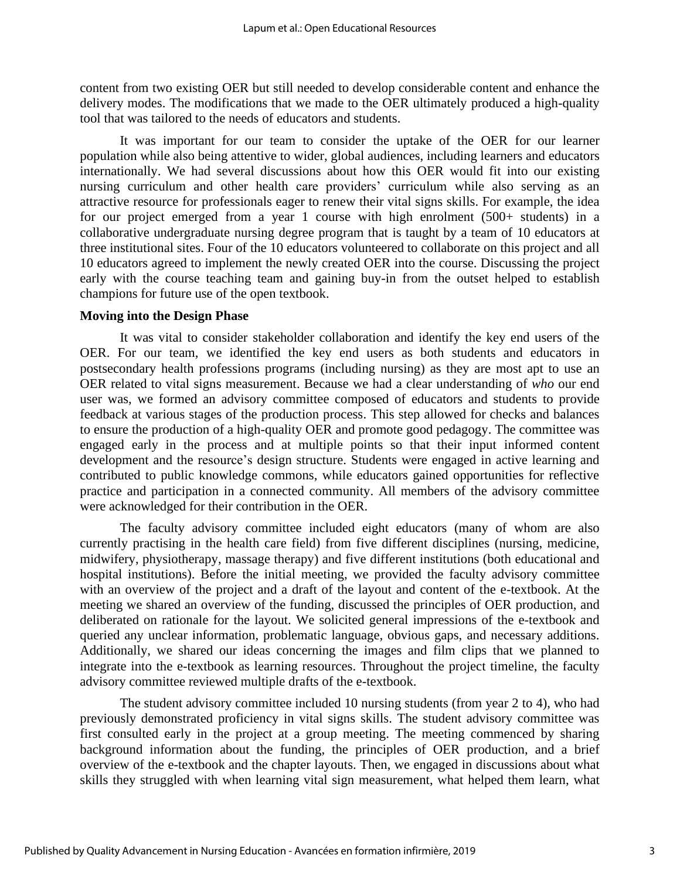content from two existing OER but still needed to develop considerable content and enhance the delivery modes. The modifications that we made to the OER ultimately produced a high-quality tool that was tailored to the needs of educators and students.

It was important for our team to consider the uptake of the OER for our learner population while also being attentive to wider, global audiences, including learners and educators internationally. We had several discussions about how this OER would fit into our existing nursing curriculum and other health care providers' curriculum while also serving as an attractive resource for professionals eager to renew their vital signs skills. For example, the idea for our project emerged from a year 1 course with high enrolment (500+ students) in a collaborative undergraduate nursing degree program that is taught by a team of 10 educators at three institutional sites. Four of the 10 educators volunteered to collaborate on this project and all 10 educators agreed to implement the newly created OER into the course. Discussing the project early with the course teaching team and gaining buy-in from the outset helped to establish champions for future use of the open textbook.

### **Moving into the Design Phase**

It was vital to consider stakeholder collaboration and identify the key end users of the OER. For our team, we identified the key end users as both students and educators in postsecondary health professions programs (including nursing) as they are most apt to use an OER related to vital signs measurement. Because we had a clear understanding of *who* our end user was, we formed an advisory committee composed of educators and students to provide feedback at various stages of the production process. This step allowed for checks and balances to ensure the production of a high-quality OER and promote good pedagogy. The committee was engaged early in the process and at multiple points so that their input informed content development and the resource's design structure. Students were engaged in active learning and contributed to public knowledge commons, while educators gained opportunities for reflective practice and participation in a connected community. All members of the advisory committee were acknowledged for their contribution in the OER.

The faculty advisory committee included eight educators (many of whom are also currently practising in the health care field) from five different disciplines (nursing, medicine, midwifery, physiotherapy, massage therapy) and five different institutions (both educational and hospital institutions). Before the initial meeting, we provided the faculty advisory committee with an overview of the project and a draft of the layout and content of the e-textbook. At the meeting we shared an overview of the funding, discussed the principles of OER production, and deliberated on rationale for the layout. We solicited general impressions of the e-textbook and queried any unclear information, problematic language, obvious gaps, and necessary additions. Additionally, we shared our ideas concerning the images and film clips that we planned to integrate into the e-textbook as learning resources. Throughout the project timeline, the faculty advisory committee reviewed multiple drafts of the e-textbook.

The student advisory committee included 10 nursing students (from year 2 to 4), who had previously demonstrated proficiency in vital signs skills. The student advisory committee was first consulted early in the project at a group meeting. The meeting commenced by sharing background information about the funding, the principles of OER production, and a brief overview of the e-textbook and the chapter layouts. Then, we engaged in discussions about what skills they struggled with when learning vital sign measurement, what helped them learn, what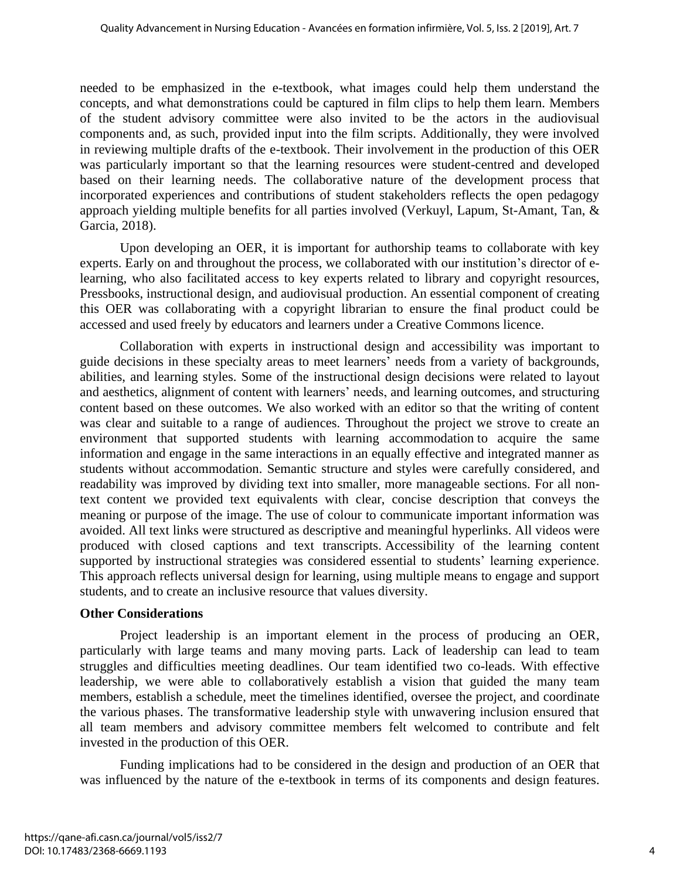needed to be emphasized in the e-textbook, what images could help them understand the concepts, and what demonstrations could be captured in film clips to help them learn. Members of the student advisory committee were also invited to be the actors in the audiovisual components and, as such, provided input into the film scripts. Additionally, they were involved in reviewing multiple drafts of the e-textbook. Their involvement in the production of this OER was particularly important so that the learning resources were student-centred and developed based on their learning needs. The collaborative nature of the development process that incorporated experiences and contributions of student stakeholders reflects the open pedagogy approach yielding multiple benefits for all parties involved (Verkuyl, Lapum, St-Amant, Tan, & Garcia, 2018).

Upon developing an OER, it is important for authorship teams to collaborate with key experts. Early on and throughout the process, we collaborated with our institution's director of elearning, who also facilitated access to key experts related to library and copyright resources, Pressbooks, instructional design, and audiovisual production. An essential component of creating this OER was collaborating with a copyright librarian to ensure the final product could be accessed and used freely by educators and learners under a Creative Commons licence.

Collaboration with experts in instructional design and accessibility was important to guide decisions in these specialty areas to meet learners' needs from a variety of backgrounds, abilities, and learning styles. Some of the instructional design decisions were related to layout and aesthetics, alignment of content with learners' needs, and learning outcomes, and structuring content based on these outcomes. We also worked with an editor so that the writing of content was clear and suitable to a range of audiences. Throughout the project we strove to create an environment that supported students with learning accommodation to acquire the same information and engage in the same interactions in an equally effective and integrated manner as students without accommodation. Semantic structure and styles were carefully considered, and readability was improved by dividing text into smaller, more manageable sections. For all nontext content we provided text equivalents with clear, concise description that conveys the meaning or purpose of the image. The use of colour to communicate important information was avoided. All text links were structured as descriptive and meaningful hyperlinks. All videos were produced with closed captions and text transcripts. Accessibility of the learning content supported by instructional strategies was considered essential to students' learning experience. This approach reflects universal design for learning, using multiple means to engage and support students, and to create an inclusive resource that values diversity.

# **Other Considerations**

Project leadership is an important element in the process of producing an OER, particularly with large teams and many moving parts. Lack of leadership can lead to team struggles and difficulties meeting deadlines. Our team identified two co-leads. With effective leadership, we were able to collaboratively establish a vision that guided the many team members, establish a schedule, meet the timelines identified, oversee the project, and coordinate the various phases. The transformative leadership style with unwavering inclusion ensured that all team members and advisory committee members felt welcomed to contribute and felt invested in the production of this OER.

Funding implications had to be considered in the design and production of an OER that was influenced by the nature of the e-textbook in terms of its components and design features.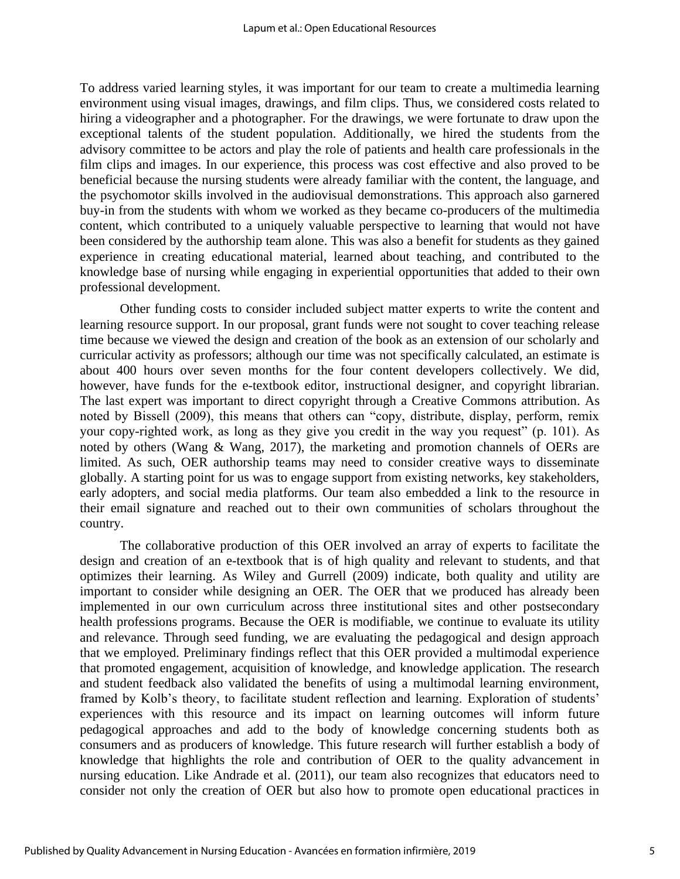To address varied learning styles, it was important for our team to create a multimedia learning environment using visual images, drawings, and film clips. Thus, we considered costs related to hiring a videographer and a photographer. For the drawings, we were fortunate to draw upon the exceptional talents of the student population. Additionally, we hired the students from the advisory committee to be actors and play the role of patients and health care professionals in the film clips and images. In our experience, this process was cost effective and also proved to be beneficial because the nursing students were already familiar with the content, the language, and the psychomotor skills involved in the audiovisual demonstrations. This approach also garnered buy-in from the students with whom we worked as they became co-producers of the multimedia content, which contributed to a uniquely valuable perspective to learning that would not have been considered by the authorship team alone. This was also a benefit for students as they gained experience in creating educational material, learned about teaching, and contributed to the knowledge base of nursing while engaging in experiential opportunities that added to their own professional development.

Other funding costs to consider included subject matter experts to write the content and learning resource support. In our proposal, grant funds were not sought to cover teaching release time because we viewed the design and creation of the book as an extension of our scholarly and curricular activity as professors; although our time was not specifically calculated, an estimate is about 400 hours over seven months for the four content developers collectively. We did, however, have funds for the e-textbook editor, instructional designer, and copyright librarian. The last expert was important to direct copyright through a Creative Commons attribution. As noted by Bissell (2009), this means that others can "copy, distribute, display, perform, remix your copy-righted work, as long as they give you credit in the way you request" (p. 101). As noted by others (Wang & Wang, 2017), the marketing and promotion channels of OERs are limited. As such, OER authorship teams may need to consider creative ways to disseminate globally. A starting point for us was to engage support from existing networks, key stakeholders, early adopters, and social media platforms. Our team also embedded a link to the resource in their email signature and reached out to their own communities of scholars throughout the country.

The collaborative production of this OER involved an array of experts to facilitate the design and creation of an e-textbook that is of high quality and relevant to students, and that optimizes their learning. As Wiley and Gurrell (2009) indicate, both quality and utility are important to consider while designing an OER. The OER that we produced has already been implemented in our own curriculum across three institutional sites and other postsecondary health professions programs. Because the OER is modifiable, we continue to evaluate its utility and relevance. Through seed funding, we are evaluating the pedagogical and design approach that we employed. Preliminary findings reflect that this OER provided a multimodal experience that promoted engagement, acquisition of knowledge, and knowledge application. The research and student feedback also validated the benefits of using a multimodal learning environment, framed by Kolb's theory, to facilitate student reflection and learning. Exploration of students' experiences with this resource and its impact on learning outcomes will inform future pedagogical approaches and add to the body of knowledge concerning students both as consumers and as producers of knowledge. This future research will further establish a body of knowledge that highlights the role and contribution of OER to the quality advancement in nursing education. Like Andrade et al. (2011), our team also recognizes that educators need to consider not only the creation of OER but also how to promote open educational practices in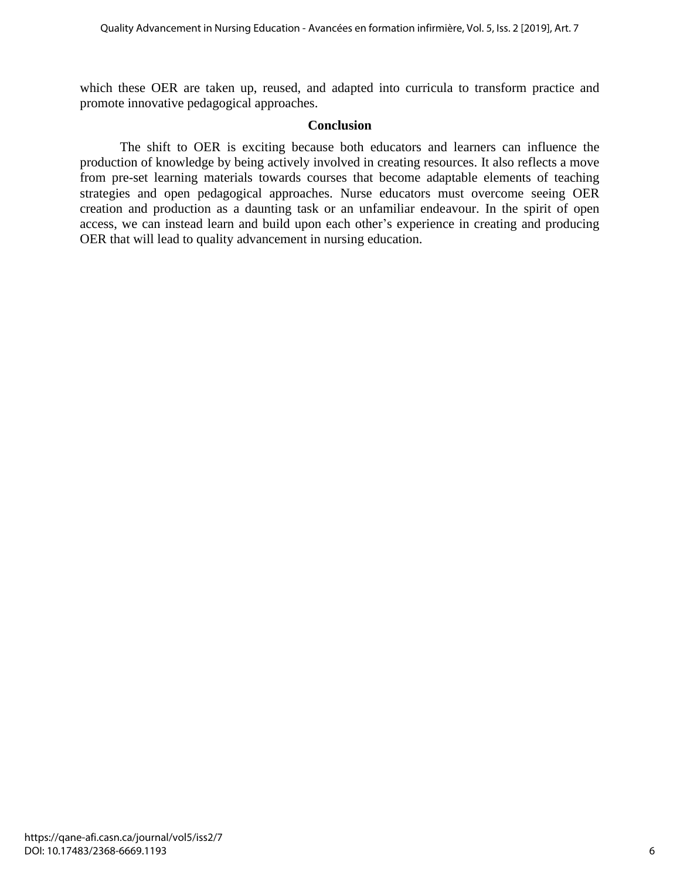which these OER are taken up, reused, and adapted into curricula to transform practice and promote innovative pedagogical approaches.

# **Conclusion**

The shift to OER is exciting because both educators and learners can influence the production of knowledge by being actively involved in creating resources. It also reflects a move from pre-set learning materials towards courses that become adaptable elements of teaching strategies and open pedagogical approaches. Nurse educators must overcome seeing OER creation and production as a daunting task or an unfamiliar endeavour. In the spirit of open access, we can instead learn and build upon each other's experience in creating and producing OER that will lead to quality advancement in nursing education.